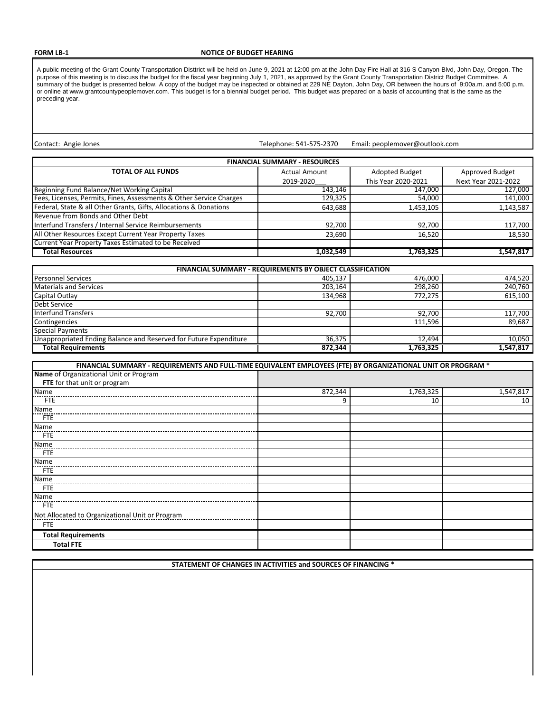## **FORM LB-1**

## **NOTICE OF BUDGET HEARING**

A public meeting of the Grant County Transportation Disttrict will be held on June 9, 2021 at 12:00 pm at the John Day Fire Hall at 316 S Canyon Blvd, John Day, Oregon. The purpose of this meeting is to discuss the budget for the fiscal year beginning July 1, 2021, as approved by the Grant County Transportation District Budget Committee. A summary of the budget is presented below. A copy of the budget may be inspected or obtained at 229 NE Dayton, John Day, OR between the hours of 9:00a.m. and 5:00 p.m. or online at www.grantcountypeoplemover.com. This budget is for a biennial budget period. This budget was prepared on a basis of accounting that is the same as the preceding year.

Contact: Angie Jones

Telephone: 541-575-2370 Email: peoplemover@outlook.com

| <b>FINANCIAL SUMMARY - RESOURCES</b>                                |                      |                     |                     |
|---------------------------------------------------------------------|----------------------|---------------------|---------------------|
| <b>TOTAL OF ALL FUNDS</b>                                           | <b>Actual Amount</b> | Adopted Budget      | Approved Budget     |
|                                                                     | 2019-2020            | This Year 2020-2021 | Next Year 2021-2022 |
| Beginning Fund Balance/Net Working Capital                          | 143.146              | 147,000             | 127,000             |
| Fees, Licenses, Permits, Fines, Assessments & Other Service Charges | 129,325              | 54,000              | 141,000             |
| Federal, State & all Other Grants, Gifts, Allocations & Donations   | 643,688              | 1,453,105           | 1,143,587           |
| Revenue from Bonds and Other Debt                                   |                      |                     |                     |
| Interfund Transfers / Internal Service Reimbursements               | 92,700               | 92,700              | 117,700             |
| All Other Resources Except Current Year Property Taxes              | 23,690               | 16,520              | 18,530              |
| Current Year Property Taxes Estimated to be Received                |                      |                     |                     |
| <b>Total Resources</b>                                              | 1.032.549            | 1,763,325           | 1,547,817           |

| <b>FINANCIAL SUMMARY - REQUIREMENTS BY OBJECT CLASSIFICATION</b>  |         |           |           |
|-------------------------------------------------------------------|---------|-----------|-----------|
| <b>Personnel Services</b>                                         | 405,137 | 476,000   | 474,520   |
| <b>Materials and Services</b>                                     | 203.164 | 298,260   | 240,760   |
| Capital Outlay                                                    | 134,968 | 772,275   | 615,100   |
| <b>Debt Service</b>                                               |         |           |           |
| Interfund Transfers                                               | 92,700  | 92.700    | 117,700   |
| Contingencies                                                     |         | 111.596   | 89,687    |
| <b>Special Payments</b>                                           |         |           |           |
| Unappropriated Ending Balance and Reserved for Future Expenditure | 36,375  | 12.494    | 10,050    |
| <b>Total Requirements</b>                                         | 872.344 | 1,763,325 | 1,547,817 |

| FINANCIAL SUMMARY - REQUIREMENTS AND FULL-TIME EQUIVALENT EMPLOYEES (FTE) BY ORGANIZATIONAL UNIT OR PROGRAM * |         |           |           |
|---------------------------------------------------------------------------------------------------------------|---------|-----------|-----------|
| Name of Organizational Unit or Program                                                                        |         |           |           |
| FTE for that unit or program                                                                                  |         |           |           |
| Name                                                                                                          | 872,344 | 1,763,325 | 1,547,817 |
| <b>FTE</b>                                                                                                    | 9       | 10        | 10        |
| <b>Name</b>                                                                                                   |         |           |           |
| <b>FTE</b>                                                                                                    |         |           |           |
| Name                                                                                                          |         |           |           |
| <b>FTE</b>                                                                                                    |         |           |           |
| Name                                                                                                          |         |           |           |
| <b>FTE</b>                                                                                                    |         |           |           |
| Name                                                                                                          |         |           |           |
| <b>FTE</b>                                                                                                    |         |           |           |
| Name                                                                                                          |         |           |           |
| <b>FTE</b>                                                                                                    |         |           |           |
| Name                                                                                                          |         |           |           |
| <b>FTE</b>                                                                                                    |         |           |           |
| Not Allocated to Organizational Unit or Program                                                               |         |           |           |
| <b>FTE</b>                                                                                                    |         |           |           |
| <b>Total Requirements</b>                                                                                     |         |           |           |
| <b>Total FTE</b>                                                                                              |         |           |           |

**STATEMENT OF CHANGES IN ACTIVITIES and SOURCES OF FINANCING \***